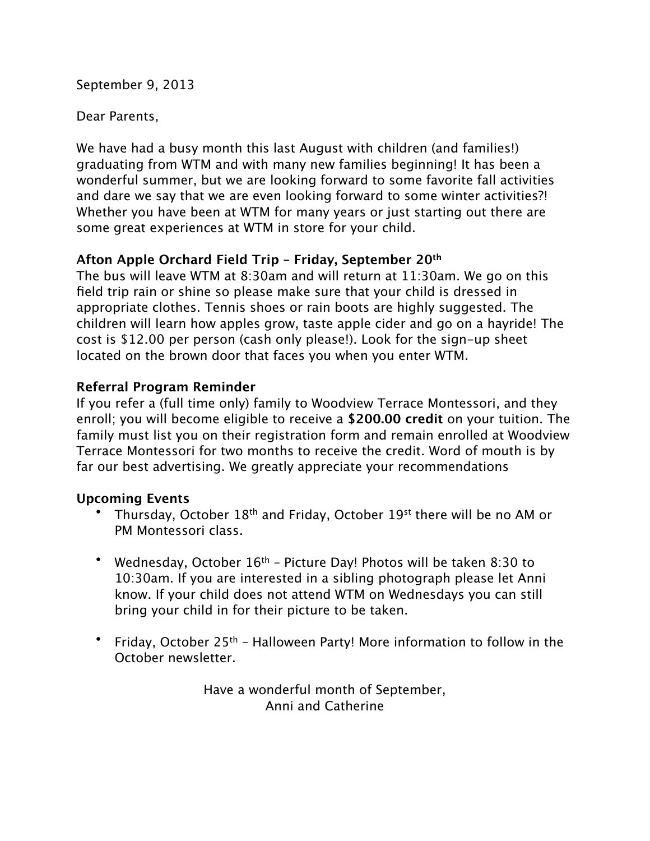September 9, 2013

## Dear Parents,

We have had a busy month this last August with children (and families!) graduating from WTM and with many new families beginning! It has been a wonderful summer, but we are looking forward to some favorite fall activities and dare we say that we are even looking forward to some winter activities?! Whether you have been at WTM for many years or just starting out there are some great experiences at WTM in store for your child.

## **Afton Apple Orchard Field Trip – Friday, September 20th**

The bus will leave WTM at 8:30am and will return at 11:30am. We go on this field trip rain or shine so please make sure that your child is dressed in appropriate clothes. Tennis shoes or rain boots are highly suggested. The children will learn how apples grow, taste apple cider and go on a hayride! The cost is \$12.00 per person (cash only please!). Look for the sign-up sheet located on the brown door that faces you when you enter WTM.

## **Referral Program Reminder**

If you refer a (full time only) family to Woodview Terrace Montessori, and they enroll; you will become eligible to receive a **\$200.00 credit** on your tuition. The family must list you on their registration form and remain enrolled at Woodview Terrace Montessori for two months to receive the credit. Word of mouth is by far our best advertising. We greatly appreciate your recommendations

## **Upcoming Events**

- Thursday, October 18<sup>th</sup> and Friday, October 19<sup>st</sup> there will be no AM or PM Montessori class.
- Wednesday, October  $16<sup>th</sup>$  Picture Day! Photos will be taken 8:30 to 10:30am. If you are interested in a sibling photograph please let Anni know. If your child does not attend WTM on Wednesdays you can still bring your child in for their picture to be taken.
- Friday, October 25<sup>th</sup> Halloween Party! More information to follow in the October newsletter.

Have a wonderful month of September, Anni and Catherine